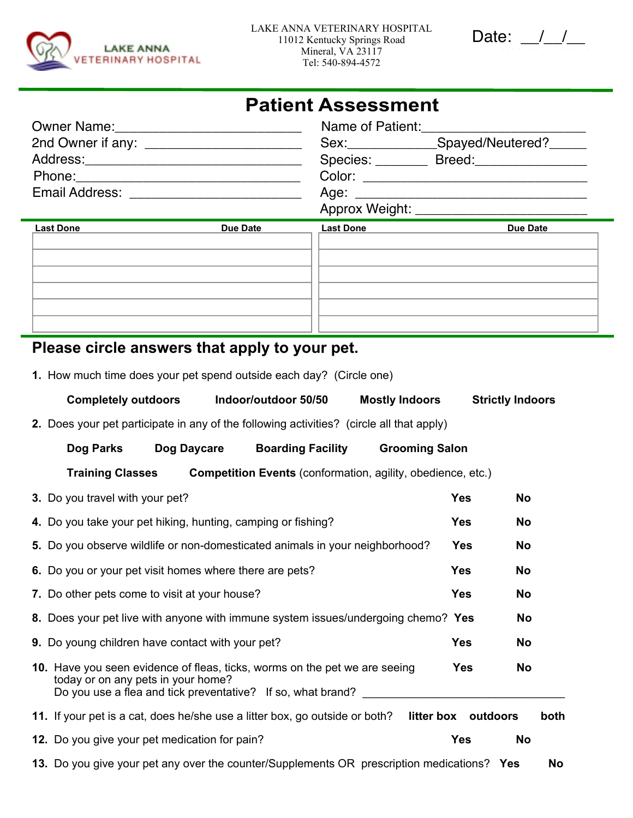

| Jdie . |  |  |
|--------|--|--|
|--------|--|--|

## **Patient Assessment**

|                | Name of Patient:<br>the control of the control of the control of the control of the control of                |
|----------------|---------------------------------------------------------------------------------------------------------------|
|                | Spayed/Neutered?<br>Sex:__________                                                                            |
|                | Species:<br>Breed:_______________                                                                             |
|                | Color: Andrea Maria Maria Maria Maria Maria Maria Maria Maria Maria Maria Maria Maria Maria Maria Maria Maria |
| Email Address: |                                                                                                               |
|                | Approx Weight:                                                                                                |

| <b>Last Done</b> | <b>Due Date</b> | <b>Last Done</b> | <b>Due Date</b> |
|------------------|-----------------|------------------|-----------------|
|                  |                 |                  |                 |
|                  |                 |                  |                 |
|                  |                 |                  |                 |
|                  |                 |                  |                 |
|                  |                 |                  |                 |
|                  |                 |                  |                 |
|                  |                 |                  |                 |

## **Please circle answers that apply to your pet.**

**1.** How much time does your pet spend outside each day? (Circle one)

| <b>Completely outdoors</b><br>Indoor/outdoor 50/50                                                                                                                              | <b>Mostly Indoors</b> | <b>Strictly Indoors</b> |      |
|---------------------------------------------------------------------------------------------------------------------------------------------------------------------------------|-----------------------|-------------------------|------|
| 2. Does your pet participate in any of the following activities? (circle all that apply)                                                                                        |                       |                         |      |
| Dog Daycare<br><b>Boarding Facility</b><br>Dog Parks                                                                                                                            | <b>Grooming Salon</b> |                         |      |
| Competition Events (conformation, agility, obedience, etc.)<br><b>Training Classes</b>                                                                                          |                       |                         |      |
| 3. Do you travel with your pet?                                                                                                                                                 | <b>Yes</b>            | <b>No</b>               |      |
| 4. Do you take your pet hiking, hunting, camping or fishing?                                                                                                                    | <b>Yes</b>            | <b>No</b>               |      |
| 5. Do you observe wildlife or non-domesticated animals in your neighborhood?                                                                                                    | <b>Yes</b>            | <b>No</b>               |      |
| 6. Do you or your pet visit homes where there are pets?                                                                                                                         | <b>Yes</b>            | <b>No</b>               |      |
| 7. Do other pets come to visit at your house?                                                                                                                                   | <b>Yes</b>            | <b>No</b>               |      |
| 8. Does your pet live with anyone with immune system issues/undergoing chemo? Yes                                                                                               |                       | No                      |      |
| 9. Do young children have contact with your pet?                                                                                                                                | <b>Yes</b>            | <b>No</b>               |      |
| 10. Have you seen evidence of fleas, ticks, worms on the pet we are seeing<br>today or on any pets in your home?<br>Do you use a flea and tick preventative? If so, what brand? | <b>Yes</b>            | <b>No</b>               |      |
| 11. If your pet is a cat, does he/she use a litter box, go outside or both?                                                                                                     | litter box outdoors   |                         | both |
| 12. Do you give your pet medication for pain?                                                                                                                                   | <b>Yes</b>            | <b>No</b>               |      |
| 13. Do you give your pet any over the counter/Supplements OR prescription medications? Yes                                                                                      |                       |                         | No   |